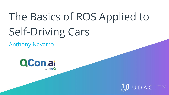# The Basics of ROS Applied to Self-Driving Cars

Anthony Navarro



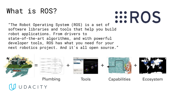## What is ROS?

**EROS** 

"The Robot Operating System (ROS) is a set of software libraries and tools that help you build robot applications. From drivers to state-of-the-art algorithms, and with powerful developer tools, ROS has what you need for your next robotics project. And it's all open source."

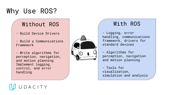## Why Use ROS?

#### Without ROS

- Build Device Drivers
- Build a Communications Framework

- Write algorithms for perception, navigation, and motion planning Implement logging, control, and error handling



#### With ROS

- Logging, error handling, communications framework, drivers for standard devices

- Algorithms for perception, navigation and motion planning

- Tools for visualization, simulation and analysis

## ACITY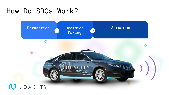## How Do SDCs Work?

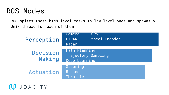### ROS Nodes

UDACITY

ROS splits these high level tasks in low level ones and spawns a Unix thread for each of them.

| Perception         | <b>GPS</b><br>Camera<br>Wheel Encoder<br><b>LIDAR</b><br>Radar |
|--------------------|----------------------------------------------------------------|
| Decision<br>Making | Path Planning<br>Trajectory Sampling<br>Deep Learning          |
| Actuation          | Steering<br><b>Brakes</b><br>Throttle                          |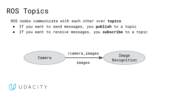## ROS Topics

ROS nodes communicate with each other over **topics**

- If you want to send messages, you **publish** to a topic
- If you want to receive messages, you **subscribe** to a topic



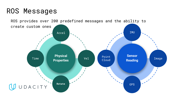## ROS Messages

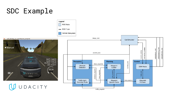## SDC Example

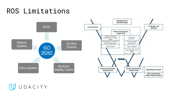## ROS Limitations



UUDACITY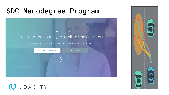## SDC Nanodegree Program